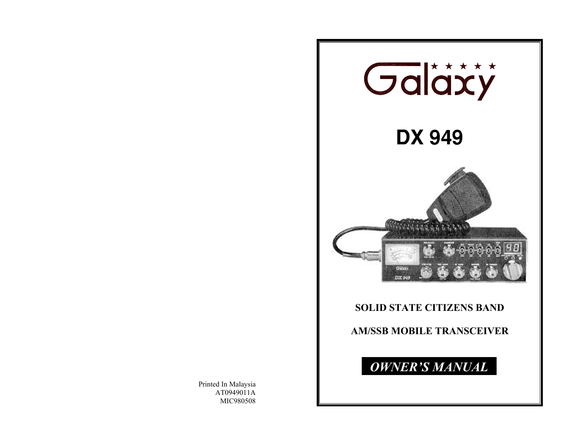

*OWNER'S MANUAL* 

Printed In Malaysia AT0949011A MIC980508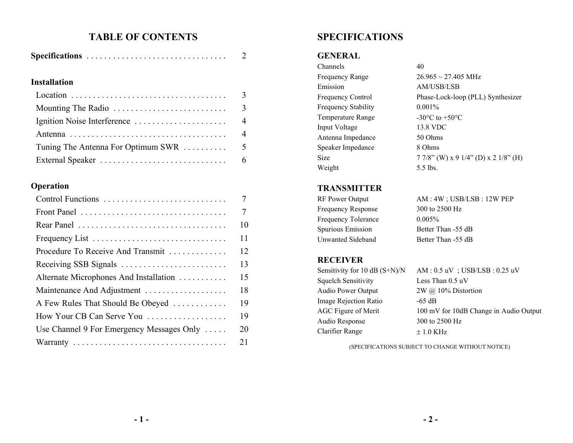## **TABLE OF CONTENTS**

| Specifications |  |  |  |  |  |  |  |  |  |  |  |  |  |  |  |  |  |  |  |  |  |  |  |  |  |  |  |  |  |  |  |  |  |  |  |  |
|----------------|--|--|--|--|--|--|--|--|--|--|--|--|--|--|--|--|--|--|--|--|--|--|--|--|--|--|--|--|--|--|--|--|--|--|--|--|
|----------------|--|--|--|--|--|--|--|--|--|--|--|--|--|--|--|--|--|--|--|--|--|--|--|--|--|--|--|--|--|--|--|--|--|--|--|--|

### **Installation**

| 3              |
|----------------|
| $\overline{4}$ |
| $\overline{4}$ |
|                |
| 6              |

## **Operation**

| Control Functions                         | 7  |
|-------------------------------------------|----|
| Front Panel                               | 7  |
|                                           | 10 |
| Frequency List                            | 11 |
| Procedure To Receive And Transmit         | 12 |
| Receiving SSB Signals                     | 13 |
| Alternate Microphones And Installation    | 15 |
| Maintenance And Adjustment                | 18 |
| A Few Rules That Should Be Obeyed         | 19 |
| How Your CB Can Serve You                 | 19 |
| Use Channel 9 For Emergency Messages Only | 20 |
|                                           | 21 |
|                                           |    |

## **SPECIFICATIONS**

# **GENERAL**

| Channels                   | 40                                     |
|----------------------------|----------------------------------------|
| <b>Frequency Range</b>     | $26.965 \sim 27.405$ MHz               |
| Emission                   | AM/USB/LSB                             |
| <b>Frequency Control</b>   | Phase-Lock-loop (PLL) Synthesizer      |
| <b>Frequency Stability</b> | $0.001\%$                              |
| <b>Temperature Range</b>   | $-30^{\circ}$ C to $+50^{\circ}$ C     |
| Input Voltage              | 13.8 VDC                               |
| Antenna Impedance          | 50 Ohms                                |
| Speaker Impedance          | 8 Ohms                                 |
| Size                       | $77/8$ " (W) x 9 1/4" (D) x 2 1/8" (H) |
| Weight                     | 5.5 lbs.                               |
|                            |                                        |

## **TRANSMITTER**

| RF Power Output            | AM:4W:USB/LSB:12WPEP |
|----------------------------|----------------------|
| Frequency Response         | 300 to 2500 Hz       |
| <b>Frequency Tolerance</b> | $0.005\%$            |
| <b>Spurious Emission</b>   | Better Than -55 dB   |
| Unwanted Sideband          | Better Than -55 dB   |
|                            |                      |

## **RECEIVER**

| Sensitivity for 10 dB $(S+N)/N$ | AM: 0.5 uV ; USB/LSB: 0.25 uV          |
|---------------------------------|----------------------------------------|
| <b>Squelch Sensitivity</b>      | Less Than $0.5$ uV                     |
| Audio Power Output              | $2W$ @ 10% Distortion                  |
| Image Rejection Ratio           | $-65$ dB                               |
| AGC Figure of Merit             | 100 mV for 10dB Change in Audio Output |
| Audio Response                  | 300 to 2500 Hz                         |
| <b>Clarifier Range</b>          | $\pm 1.0$ KHz                          |
|                                 |                                        |

(SPECIFICATIONS SUBJECT TO CHANGE WITHOUT NOTICE)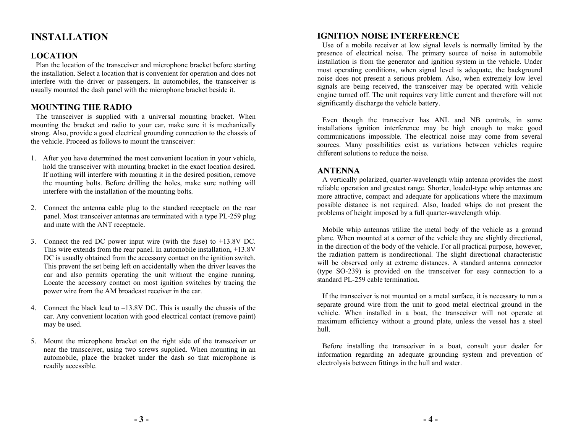# **INSTALLATION**

### **LOCATION**

Plan the location of the transceiver and microphone bracket before starting the installation. Select a location that is convenient for operation and does not interfere with the driver or passengers. In automobiles, the transceiver is usually mounted the dash panel with the microphone bracket beside it.

### **MOUNTING THE RADIO**

The transceiver is supplied with a universal mounting bracket. When mounting the bracket and radio to your car, make sure it is mechanically strong. Also, provide a good electrical grounding connection to the chassis of the vehicle. Proceed as follows to mount the transceiver:

- 1. After you have determined the most convenient location in your vehicle, hold the transceiver with mounting bracket in the exact location desired. If nothing will interfere with mounting it in the desired position, remove the mounting bolts. Before drilling the holes, make sure nothing will interfere with the installation of the mounting bolts.
- 2. Connect the antenna cable plug to the standard receptacle on the rear panel. Most transceiver antennas are terminated with a type PL-259 plug and mate with the ANT receptacle.
- 3. Connect the red DC power input wire (with the fuse) to +13.8V DC. This wire extends from the rear panel. In automobile installation, +13.8V DC is usually obtained from the accessory contact on the ignition switch. This prevent the set being left on accidentally when the driver leaves the car and also permits operating the unit without the engine running. Locate the accessory contact on most ignition switches by tracing the power wire from the AM broadcast receiver in the car.
- 4. Connect the black lead to –13.8V DC. This is usually the chassis of the car. Any convenient location with good electrical contact (remove paint) may be used.
- 5. Mount the microphone bracket on the right side of the transceiver or near the transceiver, using two screws supplied. When mounting in an automobile, place the bracket under the dash so that microphone is readily accessible.

## **IGNITION NOISE INTERFERENCE**

Use of a mobile receiver at low signal levels is normally limited by the presence of electrical noise. The primary source of noise in automobile installation is from the generator and ignition system in the vehicle. Under most operating conditions, when signal level is adequate, the background noise does not present a serious problem. Also, when extremely low level signals are being received, the transceiver may be operated with vehicle engine turned off. The unit requires very little current and therefore will not significantly discharge the vehicle battery.

Even though the transceiver has ANL and NB controls, in some installations ignition interference may be high enough to make good communications impossible. The electrical noise may come from several sources. Many possibilities exist as variations between vehicles require different solutions to reduce the noise.

### **ANTENNA**

A vertically polarized, quarter-wavelength whip antenna provides the most reliable operation and greatest range. Shorter, loaded-type whip antennas are more attractive, compact and adequate for applications where the maximum possible distance is not required. Also, loaded whips do not present the problems of height imposed by a full quarter-wavelength whip.

Mobile whip antennas utilize the metal body of the vehicle as a ground plane. When mounted at a corner of the vehicle they are slightly directional, in the direction of the body of the vehicle. For all practical purpose, however, the radiation pattern is nondirectional. The slight directional characteristic will be observed only at extreme distances. A standard antenna connector (type SO-239) is provided on the transceiver for easy connection to a standard PL-259 cable termination.

If the transceiver is not mounted on a metal surface, it is necessary to run a separate ground wire from the unit to good metal electrical ground in the vehicle. When installed in a boat, the transceiver will not operate at maximum efficiency without a ground plate, unless the vessel has a steel hull.

Before installing the transceiver in a boat, consult your dealer for information regarding an adequate grounding system and prevention of electrolysis between fittings in the hull and water.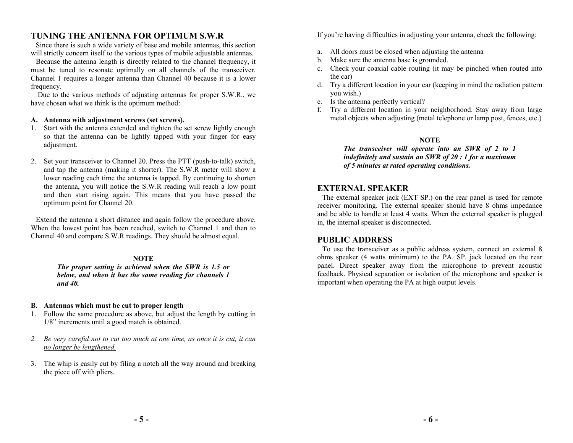## **TUNING THE ANTENNA FOR OPTIMUM S.W.R**

Since there is such a wide variety of base and mobile antennas, this section will strictly concern itself to the various types of mobile adjustable antennas.

Because the antenna length is directly related to the channel frequency, it must be tuned to resonate optimally on all channels of the transceiver. Channel 1 requires a longer antenna than Channel 40 because it is a lower frequency.

 Due to the various methods of adjusting antennas for proper S.W.R., we have chosen what we think is the optimum method:

#### **A. Antenna with adjustment screws (set screws).**

- 1. Start with the antenna extended and tighten the set screw lightly enough so that the antenna can be lightly tapped with your finger for easy adjustment.
- 2. Set your transceiver to Channel 20. Press the PTT (push-to-talk) switch, and tap the antenna (making it shorter). The S.W.R meter will show a lower reading each time the antenna is tapped. By continuing to shorten the antenna, you will notice the S.W.R reading will reach a low point and then start rising again. This means that you have passed the optimum point for Channel 20.

Extend the antenna a short distance and again follow the procedure above. When the lowest point has been reached, switch to Channel 1 and then to Channel 40 and compare S.W.R readings. They should be almost equal.

#### **NOTE**

#### *The proper setting is achieved when the SWR is 1.5 or below, and when it has the same reading for channels 1 and 40.*

#### **B. Antennas which must be cut to proper length**

- 1. Follow the same procedure as above, but adjust the length by cutting in 1/8" increments until a good match is obtained.
- *2. Be very careful not to cut too much at one time, as once it is cut, it can no longer be lengthened.*
- 3. The whip is easily cut by filing a notch all the way around and breaking the piece off with pliers.

If you're having difficulties in adjusting your antenna, check the following:

- a. All doors must be closed when adjusting the antenna
- b. Make sure the antenna base is grounded.
- c. Check your coaxial cable routing (it may be pinched when routed into the car)
- d. Try a different location in your car (keeping in mind the radiation pattern you wish.)
- e. Is the antenna perfectly vertical?
- f. Try a different location in your neighborhood. Stay away from large metal objects when adjusting (metal telephone or lamp post, fences, etc.)

### **NOTE**

*The transceiver will operate into an SWR of 2 to 1 indefinitely and sustain an SWR of 20 : 1 for a maximum of 5 minutes at rated operating conditions.* 

### **EXTERNAL SPEAKER**

The external speaker jack (EXT SP.) on the rear panel is used for remote receiver monitoring. The external speaker should have 8 ohms impedance and be able to handle at least 4 watts. When the external speaker is plugged in, the internal speaker is disconnected.

### **PUBLIC ADDRESS**

To use the transceiver as a public address system, connect an external 8 ohms speaker (4 watts minimum) to the PA. SP. jack located on the rear panel. Direct speaker away from the microphone to prevent acoustic feedback. Physical separation or isolation of the microphone and speaker is important when operating the PA at high output levels.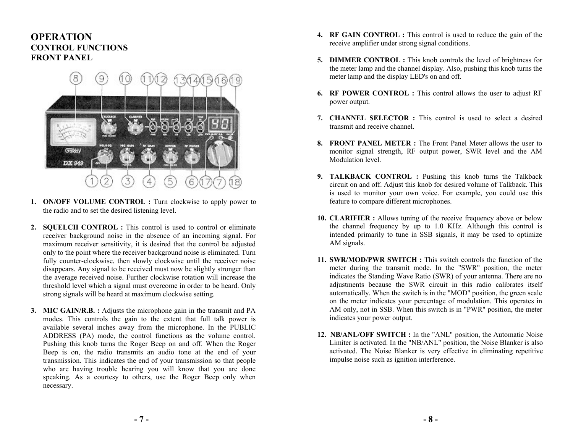## **OPERATION CONTROL FUNCTIONS FRONT PANEL**



- **1. ON/OFF VOLUME CONTROL :** Turn clockwise to apply power to the radio and to set the desired listening level.
- **2. SQUELCH CONTROL :** This control is used to control or eliminate receiver background noise in the absence of an incoming signal. For maximum receiver sensitivity, it is desired that the control be adjusted only to the point where the receiver background noise is eliminated. Turn fully counter-clockwise, then slowly clockwise until the receiver noise disappears. Any signal to be received must now be slightly stronger than the average received noise. Further clockwise rotation will increase the threshold level which a signal must overcome in order to be heard. Only strong signals will be heard at maximum clockwise setting.
- **3. MIC GAIN/R.B. :** Adjusts the microphone gain in the transmit and PA modes. This controls the gain to the extent that full talk power is available several inches away from the microphone. In the PUBLIC ADDRESS (PA) mode, the control functions as the volume control. Pushing this knob turns the Roger Beep on and off. When the Roger Beep is on, the radio transmits an audio tone at the end of your transmission. This indicates the end of your transmission so that people who are having trouble hearing you will know that you are done speaking. As a courtesy to others, use the Roger Beep only when necessary.
- **4. RF GAIN CONTROL :** This control is used to reduce the gain of the receive amplifier under strong signal conditions.
- **5. DIMMER CONTROL :** This knob controls the level of brightness for the meter lamp and the channel display. Also, pushing this knob turns the meter lamp and the display LED's on and off.
- **6. RF POWER CONTROL :** This control allows the user to adjust RF power output.
- **7. CHANNEL SELECTOR :** This control is used to select a desired transmit and receive channel.
- **8. FRONT PANEL METER :** The Front Panel Meter allows the user to monitor signal strength, RF output power, SWR level and the AM Modulation level.
- **9. TALKBACK CONTROL :** Pushing this knob turns the Talkback circuit on and off. Adjust this knob for desired volume of Talkback. This is used to monitor your own voice. For example, you could use this feature to compare different microphones.
- **10. CLARIFIER :** Allows tuning of the receive frequency above or below the channel frequency by up to 1.0 KHz. Although this control is intended primarily to tune in SSB signals, it may be used to optimize AM signals.
- **11. SWR/MOD/PWR SWITCH :** This switch controls the function of the meter during the transmit mode. In the "SWR" position, the meter indicates the Standing Wave Ratio (SWR) of your antenna. There are no adjustments because the SWR circuit in this radio calibrates itself automatically. When the switch is in the "MOD" position, the green scale on the meter indicates your percentage of modulation. This operates in AM only, not in SSB. When this switch is in "PWR" position, the meter indicates your power output.
- **12. NB/ANL/OFF SWITCH :** In the "ANL" position, the Automatic Noise Limiter is activated. In the "NB/ANL" position, the Noise Blanker is also activated. The Noise Blanker is very effective in eliminating repetitive impulse noise such as ignition interference.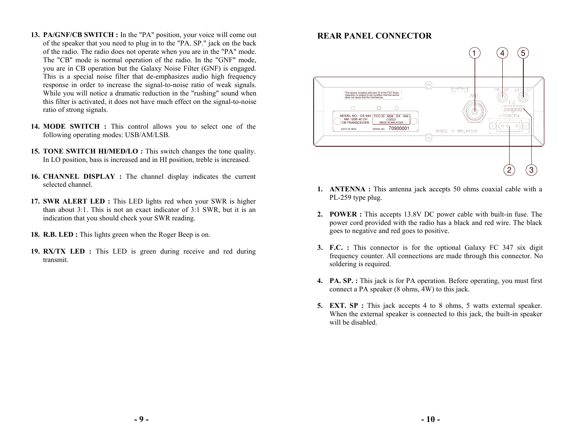- **13. PA/GNF/CB SWITCH :** In the "PA" position, your voice will come out of the speaker that you need to plug in to the "PA. SP." jack on the back of the radio. The radio does not operate when you are in the "PA" mode. The "CB" mode is normal operation of the radio. In the "GNF" mode, you are in CB operation but the Galaxy Noise Filter (GNF) is engaged. This is a special noise filter that de-emphasizes audio high frequency response in order to increase the signal-to-noise ratio of weak signals. While you will notice a dramatic reduction in the "rushing" sound when this filter is activated, it does not have much effect on the signal-to-noise ratio of strong signals.
- **14. MODE SWITCH :** This control allows you to select one of the following operating modes: USB/AM/LSB.
- **15. TONE SWITCH HI/MED/LO :** This switch changes the tone quality. In LO position, bass is increased and in HI position, treble is increased.
- **16. CHANNEL DISPLAY :** The channel display indicates the current selected channel.
- **17. SWR ALERT LED :** This LED lights red when your SWR is higher than about 3:1. This is not an exact indicator of 3:1 SWR, but it is an indication that you should check your SWR reading.
- **18. R.B. LED :** This lights green when the Roger Beep is on.
- **19. RX/TX LED :** This LED is green during receive and red during transmit.

### **REAR PANEL CONNECTOR**



- **1. ANTENNA :** This antenna jack accepts 50 ohms coaxial cable with a PL-259 type plug.
- **2. POWER :** This accepts 13.8V DC power cable with built-in fuse. The power cord provided with the radio has a black and red wire. The black goes to negative and red goes to positive.
- **3. F.C. :** This connector is for the optional Galaxy FC 347 six digit frequency counter. All connections are made through this connector. No soldering is required.
- **4. PA. SP. :** This jack is for PA operation. Before operating, you must first connect a PA speaker (8 ohms, 4W) to this jack.
- **5. EXT. SP :** This jack accepts 4 to 8 ohms, 5 watts external speaker. When the external speaker is connected to this jack, the built-in speaker will be disabled.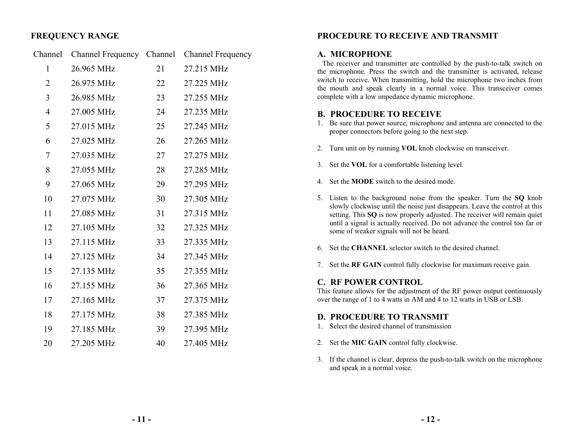## **FREQUENCY RANGE**

| Channel        |            |    | Channel Frequency Channel Channel Frequency |
|----------------|------------|----|---------------------------------------------|
| $\mathbf{1}$   | 26.965 MHz | 21 | 27.215 MHz                                  |
| $\overline{2}$ | 26.975 MHz | 22 | 27.225 MHz                                  |
| 3              | 26.985 MHz | 23 | 27.255 MHz                                  |
| $\overline{4}$ | 27.005 MHz | 24 | 27.235 MHz                                  |
| 5              | 27.015 MHz | 25 | 27.245 MHz                                  |
| 6              | 27.025 MHz | 26 | 27.265 MHz                                  |
| $\overline{7}$ | 27.035 MHz | 27 | 27.275 MHz                                  |
| 8              | 27.055 MHz | 28 | 27.285 MHz                                  |
| 9              | 27.065 MHz | 29 | 27.295 MHz                                  |
| 10             | 27.075 MHz | 30 | 27.305 MHz                                  |
| 11             | 27.085 MHz | 31 | 27.315 MHz                                  |
| 12             | 27.105 MHz | 32 | 27.325 MHz                                  |
| 13             | 27.115 MHz | 33 | 27.335 MHz                                  |
| 14             | 27.125 MHz | 34 | 27.345 MHz                                  |
| 15             | 27.135 MHz | 35 | 27.355 MHz                                  |
| 16             | 27.155 MHz | 36 | 27.365 MHz                                  |
| 17             | 27.165 MHz | 37 | 27.375 MHz                                  |
| 18             | 27.175 MHz | 38 | 27.385 MHz                                  |
| 19             | 27.185 MHz | 39 | 27.395 MHz                                  |
| 20             | 27.205 MHz | 40 | 27.405 MHz                                  |

### **PROCEDURE TO RECEIVE AND TRANSMIT**

### **A. MICROPHONE**

The receiver and transmitter are controlled by the push-to-talk switch on the microphone. Press the switch and the transmitter is activated, release switch to receive. When transmitting, hold the microphone two inches from the mouth and speak clearly in a normal voice. This transceiver comes complete with a low impedance dynamic microphone.

### **B. PROCEDURE TO RECEIVE**

- 1. Be sure that power source, microphone and antenna are connected to the proper connectors before going to the next step.
- 2. Turn unit on by running **VOL** knob clockwise on transceiver.
- 3. Set the **VOL** for a comfortable listening level.
- 4. Set the **MODE** switch to the desired mode.
- 5. Listen to the background noise from the speaker. Turn the **SQ** knob slowly clockwise until the noise just disappears. Leave the control at this setting. This **SQ** is now properly adjusted. The receiver will remain quiet until a signal is actually received. Do not advance the control too far or some of weaker signals will not be heard.
- 6. Set the **CHANNEL** selector switch to the desired channel.
- 7. Set the **RF GAIN** control fully clockwise for maximum receive gain.

### **C. RF POWER CONTROL**

This feature allows for the adjustment of the RF power output continuously over the range of 1 to 4 watts in AM and 4 to 12 watts in USB or LSB.

## **D. PROCEDURE TO TRANSMIT**

- 1. Select the desired channel of transmission
- 2. Set the **MIC GAIN** control fully clockwise.
- 3. If the channel is clear, depress the push-to-talk switch on the microphone and speak in a normal voice.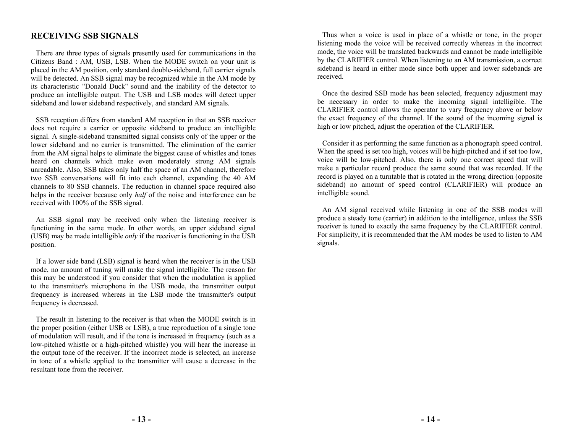### **RECEIVING SSB SIGNALS**

There are three types of signals presently used for communications in the Citizens Band : AM, USB, LSB. When the MODE switch on your unit is placed in the AM position, only standard double-sideband, full carrier signals will be detected. An SSB signal may be recognized while in the AM mode by its characteristic "Donald Duck" sound and the inability of the detector to produce an intelligible output. The USB and LSB modes will detect upper sideband and lower sideband respectively, and standard AM signals.

SSB reception differs from standard AM reception in that an SSB receiver does not require a carrier or opposite sideband to produce an intelligible signal. A single-sideband transmitted signal consists only of the upper or the lower sideband and no carrier is transmitted. The elimination of the carrier from the AM signal helps to eliminate the biggest cause of whistles and tones heard on channels which make even moderately strong AM signals unreadable. Also, SSB takes only half the space of an AM channel, therefore two SSB conversations will fit into each channel, expanding the 40 AM channels to 80 SSB channels. The reduction in channel space required also helps in the receiver because only *half* of the noise and interference can be received with 100% of the SSB signal.

An SSB signal may be received only when the listening receiver is functioning in the same mode. In other words, an upper sideband signal (USB) may be made intelligible *only* if the receiver is functioning in the USB position.

If a lower side band (LSB) signal is heard when the receiver is in the USB mode, no amount of tuning will make the signal intelligible. The reason for this may be understood if you consider that when the modulation is applied to the transmitter's microphone in the USB mode, the transmitter output frequency is increased whereas in the LSB mode the transmitter's output frequency is decreased.

The result in listening to the receiver is that when the MODE switch is in the proper position (either USB or LSB), a true reproduction of a single tone of modulation will result, and if the tone is increased in frequency (such as a low-pitched whistle or a high-pitched whistle) you will hear the increase in the output tone of the receiver. If the incorrect mode is selected, an increase in tone of a whistle applied to the transmitter will cause a decrease in the resultant tone from the receiver.

Thus when a voice is used in place of a whistle or tone, in the proper listening mode the voice will be received correctly whereas in the incorrect mode, the voice will be translated backwards and cannot be made intelligible by the CLARIFIER control. When listening to an AM transmission, a correct sideband is heard in either mode since both upper and lower sidebands are received.

Once the desired SSB mode has been selected, frequency adjustment may be necessary in order to make the incoming signal intelligible. The CLARIFIER control allows the operator to vary frequency above or below the exact frequency of the channel. If the sound of the incoming signal is high or low pitched, adjust the operation of the CLARIFIER.

Consider it as performing the same function as a phonograph speed control. When the speed is set too high, voices will be high-pitched and if set too low, voice will be low-pitched. Also, there is only one correct speed that will make a particular record produce the same sound that was recorded. If the record is played on a turntable that is rotated in the wrong direction (opposite sideband) no amount of speed control (CLARIFIER) will produce an intelligible sound.

An AM signal received while listening in one of the SSB modes will produce a steady tone (carrier) in addition to the intelligence, unless the SSB receiver is tuned to exactly the same frequency by the CLARIFIER control. For simplicity, it is recommended that the AM modes be used to listen to AM signals.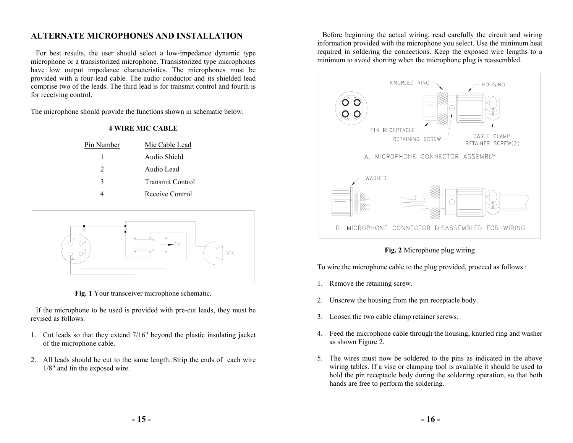### **ALTERNATE MICROPHONES AND INSTALLATION**

For best results, the user should select a low-impedance dynamic type microphone or a transistorized microphone. Transistorized type microphones have low output impedance characteristics. The microphones must be provided with a four-lead cable. The audio conductor and its shielded lead comprise two of the leads. The third lead is for transmit control and fourth is for receiving control.

The microphone should provide the functions shown in schematic below.

| Pin Number | Mic Cable Lead          |
|------------|-------------------------|
|            | Audio Shield            |
| 2          | Audio Lead              |
| 3          | <b>Transmit Control</b> |
|            | Receive Control         |





**Fig. 1** Your transceiver microphone schematic.

If the microphone to be used is provided with pre-cut leads, they must be revised as follows.

- 1. Cut leads so that they extend 7/16" beyond the plastic insulating jacket of the microphone cable.
- 2. All leads should be cut to the same length. Strip the ends of each wire 1/8" and tin the exposed wire.

Before beginning the actual wiring, read carefully the circuit and wiring information provided with the microphone you select. Use the minimum heat required in soldering the connections. Keep the exposed wire lengths to a minimum to avoid shorting when the microphone plug is reassembled.



**Fig. 2** Microphone plug wiring

To wire the microphone cable to the plug provided, proceed as follows :

- 1. Remove the retaining screw.
- 2. Unscrew the housing from the pin receptacle body.
- 3. Loosen the two cable clamp retainer screws.
- 4. Feed the microphone cable through the housing, knurled ring and washer as shown Figure 2.
- 5. The wires must now be soldered to the pins as indicated in the above wiring tables. If a vise or clamping tool is available it should be used to hold the pin receptacle body during the soldering operation, so that both hands are free to perform the soldering.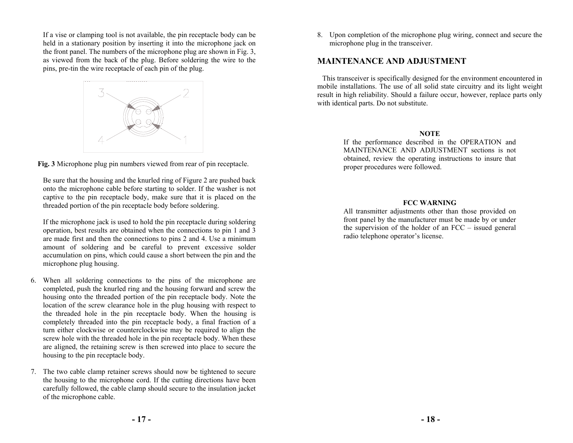If a vise or clamping tool is not available, the pin receptacle body can be held in a stationary position by inserting it into the microphone jack on the front panel. The numbers of the microphone plug are shown in Fig. 3, as viewed from the back of the plug. Before soldering the wire to the pins, pre-tin the wire receptacle of each pin of the plug.



**Fig. 3** Microphone plug pin numbers viewed from rear of pin receptacle.

Be sure that the housing and the knurled ring of Figure 2 are pushed back onto the microphone cable before starting to solder. If the washer is not captive to the pin receptacle body, make sure that it is placed on the threaded portion of the pin receptacle body before soldering.

If the microphone jack is used to hold the pin receptacle during soldering operation, best results are obtained when the connections to pin 1 and 3 are made first and then the connections to pins 2 and 4. Use a minimum amount of soldering and be careful to prevent excessive solder accumulation on pins, which could cause a short between the pin and the microphone plug housing.

- 6. When all soldering connections to the pins of the microphone are completed, push the knurled ring and the housing forward and screw the housing onto the threaded portion of the pin receptacle body. Note the location of the screw clearance hole in the plug housing with respect to the threaded hole in the pin receptacle body. When the housing is completely threaded into the pin receptacle body, a final fraction of a turn either clockwise or counterclockwise may be required to align the screw hole with the threaded hole in the pin receptacle body. When these are aligned, the retaining screw is then screwed into place to secure the housing to the pin receptacle body.
- 7. The two cable clamp retainer screws should now be tightened to secure the housing to the microphone cord. If the cutting directions have been carefully followed, the cable clamp should secure to the insulation jacket of the microphone cable.

8. Upon completion of the microphone plug wiring, connect and secure the microphone plug in the transceiver.

## **MAINTENANCE AND ADJUSTMENT**

This transceiver is specifically designed for the environment encountered in mobile installations. The use of all solid state circuitry and its light weight result in high reliability. Should a failure occur, however, replace parts only with identical parts. Do not substitute.

#### **NOTE**

If the performance described in the OPERATION and MAINTENANCE AND ADJUSTMENT sections is not obtained, review the operating instructions to insure that proper procedures were followed.

#### **FCC WARNING**

All transmitter adjustments other than those provided on front panel by the manufacturer must be made by or under the supervision of the holder of an FCC – issued general radio telephone operator's license.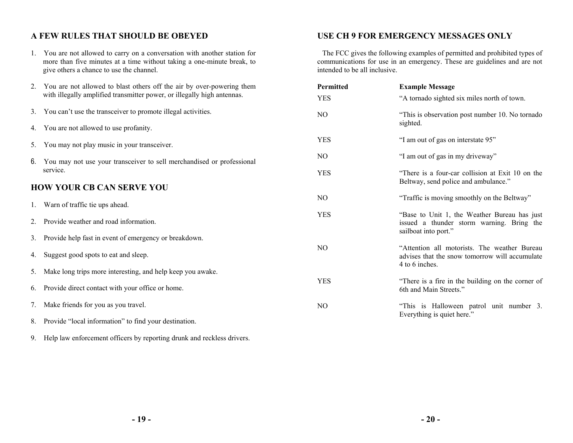### **A FEW RULES THAT SHOULD BE OBEYED**

- 1. You are not allowed to carry on a conversation with another station for more than five minutes at a time without taking a one-minute break, to give others a chance to use the channel.
- 2. You are not allowed to blast others off the air by over-powering them with illegally amplified transmitter power, or illegally high antennas.
- 3. You can't use the transceiver to promote illegal activities.
- 4. You are not allowed to use profanity.
- 5. You may not play music in your transceiver.
- 6. You may not use your transceiver to sell merchandised or professional service.

### **HOW YOUR CB CAN SERVE YOU**

1. Warn of traffic tie ups ahead. 2. Provide weather and road information.

7. Make friends for you as you travel.

- 3. Provide help fast in event of emergency or breakdown.
- 4. Suggest good spots to eat and sleep.
- 5. Make long trips more interesting, and help keep you awake.
- 6. Provide direct contact with your office or home.
- 
- 8. Provide "local information" to find your destination.
- 9. Help law enforcement officers by reporting drunk and reckless drivers.

### **USE CH 9 FOR EMERGENCY MESSAGES ONLY**

The FCC gives the following examples of permitted and prohibited types of communications for use in an emergency. These are guidelines and are not intended to be all inclusive.

| Permitted      | <b>Example Message</b>                                                                                            |
|----------------|-------------------------------------------------------------------------------------------------------------------|
| <b>YES</b>     | "A tornado sighted six miles north of town.                                                                       |
| NO.            | "This is observation post number 10. No tornado"<br>sighted.                                                      |
| YES            | "I am out of gas on interstate 95"                                                                                |
| NO.            | "I am out of gas in my driveway"                                                                                  |
| <b>YES</b>     | "There is a four-car collision at Exit 10 on the<br>Beltway, send police and ambulance."                          |
| N <sub>O</sub> | "Traffic is moving smoothly on the Beltway"                                                                       |
| <b>YES</b>     | "Base to Unit 1, the Weather Bureau has just<br>issued a thunder storm warning. Bring the<br>sailboat into port." |
| N <sub>O</sub> | "Attention all motorists. The weather Bureau<br>advises that the snow tomorrow will accumulate<br>4 to 6 inches.  |
| <b>YES</b>     | "There is a fire in the building on the corner of<br>6th and Main Streets."                                       |
| NO             | "This is Halloween patrol unit number 3.<br>Everything is quiet here."                                            |